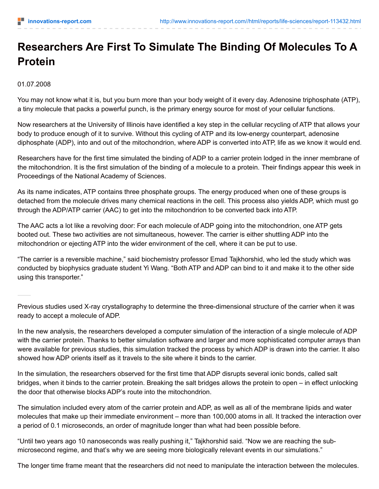## **Researchers Are First To Simulate The Binding Of Molecules To A Protein**

01.07.2008

You may not know what it is, but you burn more than your body weight of it every day. Adenosine triphosphate (ATP), a tiny molecule that packs a powerful punch, is the primary energy source for most of your cellular functions.

Now researchers at the University of Illinois have identified a key step in the cellular recycling of ATP that allows your body to produce enough of it to survive. Without this cycling of ATP and its low-energy counterpart, adenosine diphosphate (ADP), into and out of the mitochondrion, where ADP is converted into ATP, life as we know it would end.

Researchers have for the first time simulated the binding of ADP to a carrier protein lodged in the inner membrane of the mitochondrion. It is the first simulation of the binding of a molecule to a protein. Their findings appear this week in Proceedings of the National Academy of Sciences.

As its name indicates, ATP contains three phosphate groups. The energy produced when one of these groups is detached from the molecule drives many chemical reactions in the cell. This process also yields ADP, which must go through the ADP/ATP carrier (AAC) to get into the mitochondrion to be converted back into ATP.

The AAC acts a lot like a revolving door: For each molecule of ADP going into the mitochondrion, one ATP gets booted out. These two activities are not simultaneous, however. The carrier is either shuttling ADP into the mitochondrion or ejecting ATP into the wider environment of the cell, where it can be put to use.

"The carrier is a reversible machine," said biochemistry professor Emad Tajkhorshid, who led the study which was conducted by biophysics graduate student Yi Wang. "Both ATP and ADP can bind to it and make it to the other side using this transporter."

Previous studies used X-ray crystallography to determine the three-dimensional structure of the carrier when it was ready to accept a molecule of ADP.

In the new analysis, the researchers developed a computer simulation of the interaction of a single molecule of ADP with the carrier protein. Thanks to better simulation software and larger and more sophisticated computer arrays than were available for previous studies, this simulation tracked the process by which ADP is drawn into the carrier. It also showed how ADP orients itself as it travels to the site where it binds to the carrier.

In the simulation, the researchers observed for the first time that ADP disrupts several ionic bonds, called salt bridges, when it binds to the carrier protein. Breaking the salt bridges allows the protein to open – in effect unlocking the door that otherwise blocks ADP's route into the mitochondrion.

The simulation included every atom of the carrier protein and ADP, as well as all of the membrane lipids and water molecules that make up their immediate environment – more than 100,000 atoms in all. It tracked the interaction over a period of 0.1 microseconds, an order of magnitude longer than what had been possible before.

"Until two years ago 10 nanoseconds was really pushing it," Tajkhorshid said. "Now we are reaching the submicrosecond regime, and that's why we are seeing more biologically relevant events in our simulations."

The longer time frame meant that the researchers did not need to manipulate the interaction between the molecules.